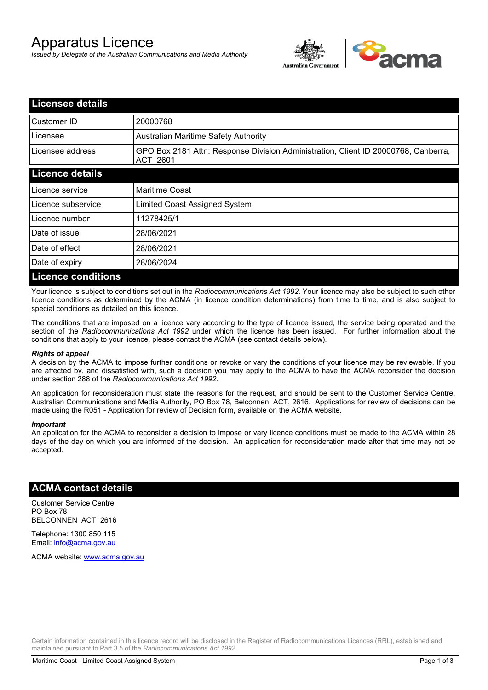# Apparatus Licence

*Issued by Delegate of the Australian Communications and Media Authority*



| <b>Licensee details</b>   |                                                                                                       |
|---------------------------|-------------------------------------------------------------------------------------------------------|
| Customer ID               | 20000768                                                                                              |
| Licensee                  | <b>Australian Maritime Safety Authority</b>                                                           |
| Licensee address          | GPO Box 2181 Attn: Response Division Administration, Client ID 20000768, Canberra,<br><b>ACT 2601</b> |
| <b>Licence details</b>    |                                                                                                       |
| Licence service           | <b>Maritime Coast</b>                                                                                 |
| Licence subservice        | Limited Coast Assigned System                                                                         |
| Licence number            | 11278425/1                                                                                            |
| Date of issue             | 28/06/2021                                                                                            |
| Date of effect            | 28/06/2021                                                                                            |
| Date of expiry            | 26/06/2024                                                                                            |
| <b>Licence conditions</b> |                                                                                                       |

Your licence is subject to conditions set out in the *Radiocommunications Act 1992*. Your licence may also be subject to such other licence conditions as determined by the ACMA (in licence condition determinations) from time to time, and is also subject to special conditions as detailed on this licence.

The conditions that are imposed on a licence vary according to the type of licence issued, the service being operated and the section of the *Radiocommunications Act 1992* under which the licence has been issued. For further information about the conditions that apply to your licence, please contact the ACMA (see contact details below).

#### *Rights of appeal*

A decision by the ACMA to impose further conditions or revoke or vary the conditions of your licence may be reviewable. If you are affected by, and dissatisfied with, such a decision you may apply to the ACMA to have the ACMA reconsider the decision under section 288 of the *Radiocommunications Act 1992*.

An application for reconsideration must state the reasons for the request, and should be sent to the Customer Service Centre, Australian Communications and Media Authority, PO Box 78, Belconnen, ACT, 2616. Applications for review of decisions can be made using the R051 - Application for review of Decision form, available on the ACMA website.

#### *Important*

An application for the ACMA to reconsider a decision to impose or vary licence conditions must be made to the ACMA within 28 days of the day on which you are informed of the decision. An application for reconsideration made after that time may not be accepted.

### **ACMA contact details**

Customer Service Centre PO Box 78 BELCONNEN ACT 2616

Telephone: 1300 850 115 Email: info@acma.gov.au

ACMA website: www.acma.gov.au

Certain information contained in this licence record will be disclosed in the Register of Radiocommunications Licences (RRL), established and maintained pursuant to Part 3.5 of the *Radiocommunications Act 1992.*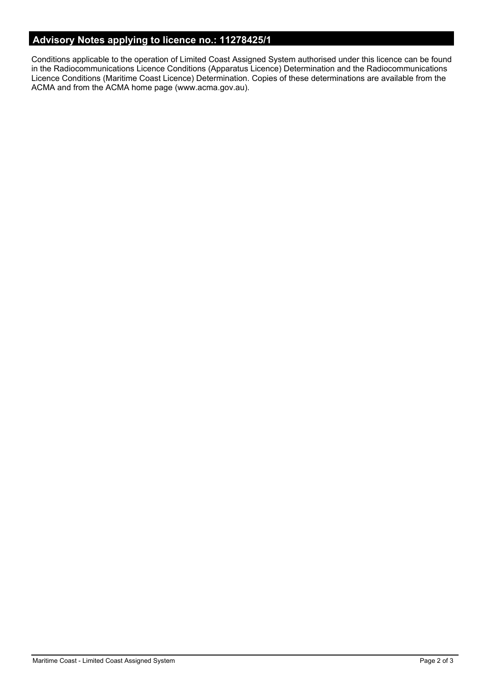# **Advisory Notes applying to licence no.: 11278425/1**

Conditions applicable to the operation of Limited Coast Assigned System authorised under this licence can be found in the Radiocommunications Licence Conditions (Apparatus Licence) Determination and the Radiocommunications Licence Conditions (Maritime Coast Licence) Determination. Copies of these determinations are available from the ACMA and from the ACMA home page (www.acma.gov.au).